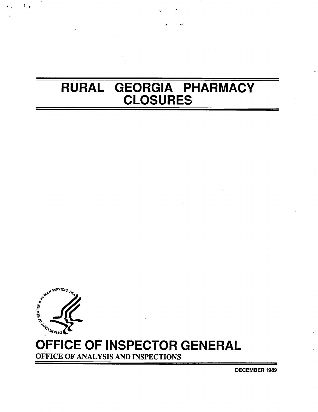# RURAL GEORGIA PHARMACY **CLOSURES**



٠.,

# OFFICE OF INSPECTOR GENERAL

OFFICE OF ANALYSIS AND INSPECTIONS

**DECEMBER 1989**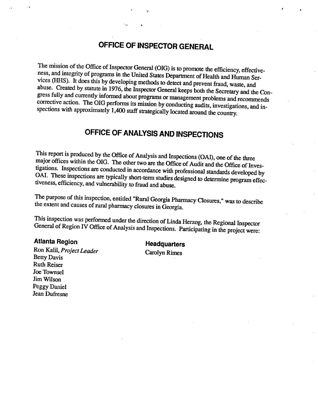# OFFICE OF INSPECTOR GENERAL

The mission of the Office of Inspector General (OIG) is to promote the efficiency, effectiveness, and integrity of programs in the United States Department of Health and Human Services (HHS). It does this by developing methods to detect and prevent fraud, waste, and<br>abuse. Created by statute in 1976, the Inspector General keeps both the Secretary and the Congress fully and currently informed about

# OFFICE OF ANALYSIS AND INSPECTIONS

This report is produced by the Office of Analysis and Inspections (OAI), one of the three major offices within the OIG. The other two are the Office of Audit and the Office of Investigations. Inspections are conducted in accordance with professional standards developed by OAI. These inspections are typically short-term studies designed to determine program effectiveness, efficiency, and vulnerability to fraud and abuse.

The purpose of this inspection, entitled "Rural Georgia Pharmacy Closures," was to describe the extent and causes of rural pharmacy closures in Georgia.

This inspection was performed under the direction of Linda Herzog, the Regional Inspector General of Region IV Office of Analysis and Inspections. Participating in the project were:

Atlanta Region Headquarters<br>
Ron Kalil, *Project Leader* Carolyn Rimes<br>
Betty Davis Ruth Reiser Joe Townsel Jim Wilson Peggy Daniel Jean Dufresne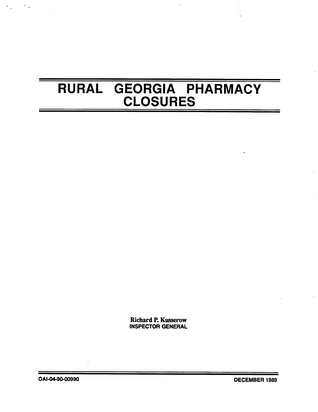# RURAL GEORGIA PHARMACY CLOSURES

Richard P. Kusserow INSPECTOR GENERAL

OAI-04-90-00990 DECEMBER 1989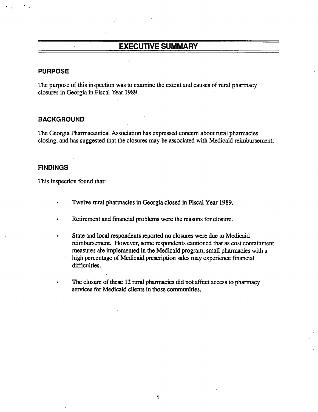# EXECUTIVE SUMMARY

#### PURPOSE

The purpose of this inspection was to examine the extent and causes of rural pharmacy closures in Georgia in Fiscal Year 1989.

#### BACKGROUND

The Georgia Pharmaceutical Association has expressed concern about rural pharmacies closing, and has suggested that the closures may be associated with Medicaid reimbursement.

#### **FINDINGS**

This inspection found that:

- Twelve rural pharmacies in Georgia closed in Fiscal Year 1989.
- Retirement and financial problems were the reasons for closure.
- State and local respondents reported no closures were due to Medicaid reimburement. However, some respondents cautioned that as cost containment measures are implemented in the Medicaid program, small pharmacies with a . high percentage of Medicaid prescription sales may experience financial difficulties.
- The closure of these 12 rural pharmacies did not affect access to pharmacy services for Medicaid clients in those communities.

 $\mathbf{i}$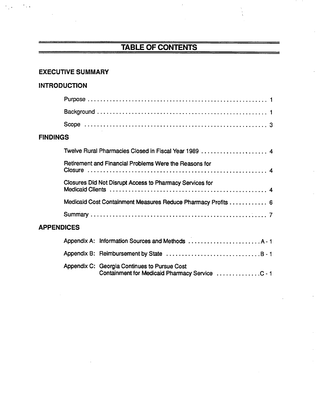# TABLE OF CONTENTS

## EXECUTIVE SUMMARY

# INTRODUCTION

 $\epsilon_{\rm{max}}$ 

## FINDINGS

|                   | Twelve Rural Pharmacies Closed in Fiscal Year 1989  4        |
|-------------------|--------------------------------------------------------------|
|                   | Retirement and Financial Problems Were the Reasons for       |
|                   | Closures Did Not Disrupt Access to Pharmacy Services for     |
|                   | Medicaid Cost Containment Measures Reduce Pharmacy Profits 6 |
|                   |                                                              |
| <b>APPENDICES</b> |                                                              |
|                   | Appendix A: Information Sources and Methods  A-1             |
|                   |                                                              |
|                   | Appendix C: Georgia Continues to Pursue Cost                 |

Containment for Medicaid Pharmacy Service ..............C - 1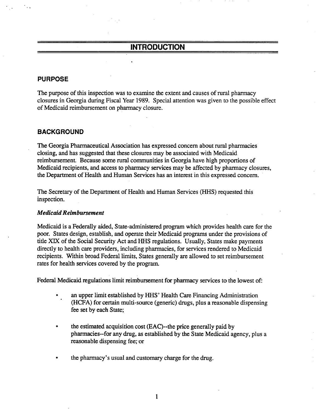# INTRODUCTION

#### **PURPOSE**

The purpose of this inspection was to examine the extent and causes of rural pharmacy closures in Georgia during Fiscal Year 1989. Special attention was given to the possible effect of Medicaid reimbursement on pharmacy closure.

#### BACKGROUND

The Georgia Pharmaceutical Association has expressed concern about rural pharmacies closing, and has suggested that these closures may be associated with Medicaid reimbursement. Because some rural communities in Georgia have high proportions of Medicaid recipients, and access to pharmacy services may be affected by pharmacy closures, the Department of Health and Human Services has an interest in this expressed concern.

The Secretary of the Department of Health and Human Services (HHS) requested this inspection.

#### Medicaid Reimbursement

Medicaid is a Federally aided, State-administered program which provides health care for the poor. States design, establish, and operate their Medicaid programs under the provisions of title XIX of the Social Security Act and HHS regulations. Usually, States make payments directly to health care providers, including pharmacies, for services rendered to Medicaid recipients. Within broad Federal limits, States generally are allowed to set reimbursement rates for health services covered by the program.

Federal Medicaid regulations limit reimbursement for pharmacy services to the lowest of:

- an upper limit established by HHS' Health Care Financing Administration (HCFA) for certain multi-source (generic) drugs, plus a reasonable dispensing fee set by each State;
- the estimated acquisition cost (EAC)--the price generally paid by pharmacies--for any drug, as established by the State Medicaid agency, plus a reasonable dispensing fee; or
- the pharmacy's usual and customary charge for the drug.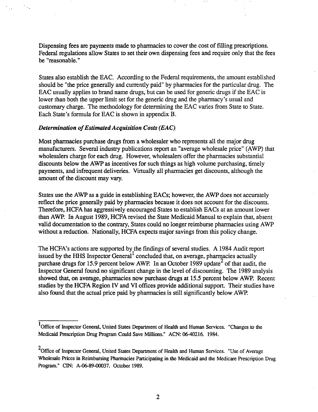Dispensing fees are payments made to pharmacies to cover the cost of filling prescriptions. Federal regulations allow States to set their own dispensing fees and require only that the fees be "reasonable.

, . " (

States also establish the EAC. According to the Federal requirements, the amount established should be "the price generally and currently paid" by pharmacies for the particular drug. The EAC usually applies to brand name drugs, but can be used for generic drugs if the EAC is lower than both the upper limit set for the generic drug and the pharmacy's usual and customary charge. The methodology for determining the EAC varies from State to State. Each State's formula for EAC is shown in appendix B.

#### Determination of Estimated Acquisition Costs (EAC).

Most pharmacies purchase drugs from a wholesaler who represents all the major drug manufacturers. Several industry publications report an "average wholesale price" (AWP) that wholesalers charge for each drug. However, wholesalers offer the pharmacies substantial discounts below the AWP as incentives for such things as high volume purchasing, timely payments, and infrequent deliveries. Virtually all pharmacies get discounts, although the amount of the discount may var.

States use the AWP as a guide in establishing EACs; however, the AWP does not accurately reflect the price generally paid by pharmacies because it does not account for the discounts. Therefore, HCFA has aggressively encouraged States to establish EACs at an amount lower than AWP. In August 1989, HCFA revised the State Medicaid Manual to explain that, absent valid documentation to the contrary, States could no longer reimburse pharmacies using AWP without a reduction. Nationally, HCFA expects major savings from this policy change.

The HCFA's actions are supported by the findings of several studies. A 1984 Audit report issued by the HHS Inspector General<sup>1</sup> concluded that, on average, pharmacies actually purchase drugs for 15.9 percent below AWP. In an October 1989 update<sup>2</sup> of that audit, the Inspector General found no significant change in the level of discounting. The 1989 analysis showed that, on average, pharmacies now purchase drugs at 15.5 percent below AWP. Recent studies by the HCFA Region IV and VI offices provide additional support. Their studies have also found that the actual price paid by pharmacies is still significantly below AWP.

<sup>&</sup>lt;sup>1</sup>Office of Inspector General, United States Department of Health and Human Services. "Changes to the Medicaid Prescription Drug Program Could Save Millions." ACN: 06-40216. 1984.

 $2$ Office of Inspector General, United States Department of Health and Human Services. "Use of Average Wholesale Prices in Reimbursing Pharmacies Participating in the Medicaid and the Medicare Prescription Drug Program." CIN: A-06-89-00037. October 1989.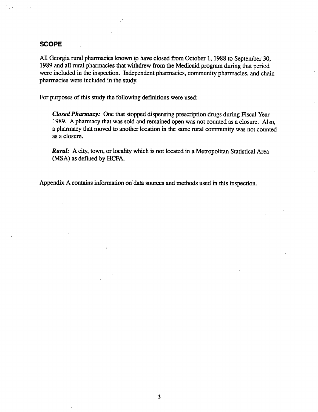#### **SCOPE**

All Georgia rural pharmacies known to have closed from October 1, 1988 to September 30, 1989 and all rural pharmacies that withdrew from the Medicaid program during that period were included in the inspection. Independent pharmacies, community pharmacies, and chain pharmacies were included in the study.

For purposes of this study the following definitions were used:

Closed Pharmacy: One that stopped dispensing prescription drugs during Fiscal Year 1989. A pharmacy that was sold and remained open was not counted as a closure. Also, a pharmacy that moved to another location in the same rural community was not counted as a closure.

**Rural:** A city, town, or locality which is not located in a Metropolitan Statistical Area (MSA) as defined by HCFA.

Appendix A contains information on data sources and methods used in this inspection.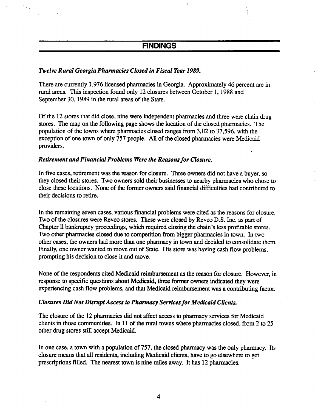# **FINDINGS**

#### Twelve Rural Georgia Pharmacies Closed in Fiscal Year 1989.

There are currently 1,976 licensed pharmacies in Georgia. Approximately 46 percent are in rural areas. This inspection found only 12 closures between October 1, 1988 and September 30, 1989 in the rural areas of the State.

Of the 12 stores that did close, nine were independent pharmacies and three were chain drug stores. The map on the following page shows the location of the closed pharmacies. The population of the towns where pharmacies closed ranges from 3,112 to 37,596, with the exception of one town of only 757 people. All of the closed pharacies were Medicaid providers.

#### Retirement and Financial Problems Were the Reasons for Closure.

In five cases, retirement was the reason for closure. Three owners did not have a buyer, so they closed their stores. Two owners sold their businesses to nearby pharmacies who chose to close these locations. None of the former owners said financial difficulties had contributed to their decisions to retie.

In the remaining seven cases, various financial problems were cited as the reasons for closure. Two of the closures were Revco stores. These were closed by Revco D.S. Inc. as part of Chapter 11 bankruptcy proceedings, which required closing the chain's less profitable stores. Two other pharmacies closed due to competition from bigger pharmacies in town. In two other cases, the owners had more than one pharacy in town and decided to consolidate them. Finaly, one owner wanted to move out of State. His store was having cash flow problems, prompting his decision to close it and move.

None of the respondents cited Medicaid reimbursement as the reason for closure. However, in response to specific questions about Medicaid, three former owners indicated they were experiencing cash flow problems, and that Medicaid reimbursement was a contributing factor.

#### Closures Did Not Disrupt Access to Pharmacy Services for Medicaid Clients.

The closure of the 12 pharmacies did not affect access to pharmacy services for Medicaid clients in those communities. In 11 of the rural towns where pharmacies closed, from 2 to  $25$ other drug stores still accept Medicaid.

In one case, a town with a population of 757, the closed pharmacy was the only pharmacy. Its closure means that all residents, including Medicaid clients, have to go elsewhere to get prescriptions filled. The nearest town is nine miles away. It has 12 pharmacies.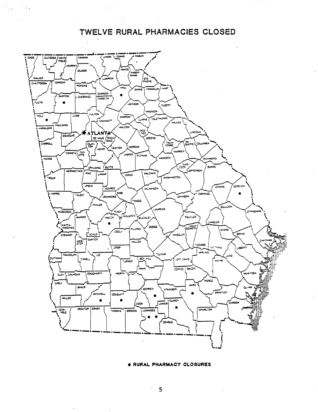TWELVE RURAL PHARMACIES CLOSED

 $\mathcal{L}^{\mathcal{L}}$ 



#### . RURAL PHARMACY CLOSURES

 $\ddot{\phantom{a}}$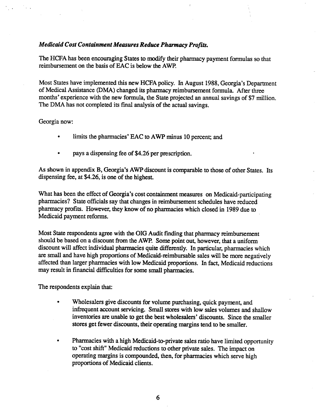#### Medicaid Cost Containment Measures Reduce Pharmacy Profits.

The HCFA has been encouraging States to modify their pharmacy payment formulas so that reimbursement on the basis of EAC is below the AWP.

Most States have implemented this new HCFA policy. In August 1988, Georgia's Department of Medical Assistance (DMA) changed its pharmacy reimbursement formula. After three months' experience with the new formula, the State projected an annual savings of \$7 million. The DMA has not completed its final analysis of the actual savings.

#### Georgia now:

- limits the pharmacies' EAC to AWP minus 10 percent; and  $\bullet$
- pays a dispensing fee of \$4.26 per prescrption.

As shown in appendix B, Georgia's AWP discount is comparable to those of other States. Its dispensing fee, at \$4.26, is one of the highest.

What has been the effect of Georgia's cost containment measures on Medicaid-participating pharmacies? State officials say that changes in reimbursement schedules have reduced pharmacy profits. However, they know of no pharmacies which closed in 1989 due to Medicaid payment reforms.

Most State respondents agree with the OIG Audit finding that pharmacy reimbursement should be based on a discount from the AWP. Some point out, however, that a uniform discount will affect individual pharmacies quite differently. In particular, pharmacies which are small and have high proportions of Medicaid-reimbursable sales will be more negatively affected than larger pharmacies with low Medicaid proportions. In fact, Medicaid reductions may result in financial difficulties for some small pharmacies.

The respondents explain that;

- Wholesalers give discounts for volume purchasing, quick payment, and infrequent account servicing. Small stores with low sales volumes and shallow inventories are unable to get the best wholesalers' discounts. Since the smaller stores get fewer discounts, their operating margins tend to be smaller.
- Pharmacies with a high Medicaid-to-private sales ratio have limited opportunity to "cost shift" Medicaid reductions to other private sales. The impact on operating margins is compounded, then, for pharmacies which serve high proportions of Medicaid clients.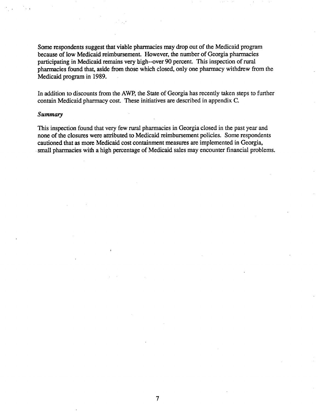Some respondents suggest that viable pharmacies may drop out of the Medicaid program because of low Medicaid reimbursement. However, the number of Georgia pharmacies participating in Medicaid remains very high--over 90 percent. This inspection of rural pharmacies found that, aside from those which closed, only one pharmacy withdrew from the Medicaid program in 1989.

In addition to discounts from the AWP, the State of Georgia has recently taken steps to further contain Medicaid pharmacy cost. These initiatives are described in appendix C.

#### Summary

This inspection found that very few rural pharmacies in Georgia closed in the past year and none of the closures were attributed to Medicaid reimbursement policies. Some respondents cautioned that as more Medicaid cost containment measurs are implemented in Georgia, small pharmacies with a high percentage of Medicaid sales may encounter financial problems.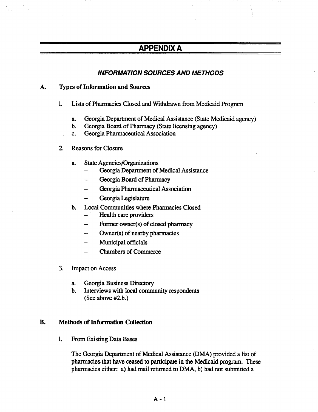# APPENDIX A

## INFORMATION SOURCES AND METHODS

#### A. Types of Information and Sources

- $1.$ Lists of Pharmacies Closed and Withdrawn from Medicaid Program
	- Georgia Department of Medical Assistance (State Medicaid agency)  $a_{\cdot}$
	- Georgia Board of Pharmacy (State licensing agency)  $\mathbf{b}$ .
	- Georgia Pharmaceutical Association  $c.$
- $2.$ Reasons for Closur
	- a. State Agencies/Organizations
		- Georgia Department of Medical Assistance
		- Georgia Board of Pharmacy  $\rightarrow$
		- Georgia Pharmaceutical Association
		- Georgia Legislatu
	- $\mathbf b$ . Local Communities where Pharmacies Closed
		- Health care providers
		- Former owner(s) of closed pharmacy L.
		- Owner(s) of nearby pharmacies
		- Municipal officials
		- Chambers of Commerce
- 3. Impact on Access
	- Georgia Business Directory a.
	- $\mathbf{b}$ . Interviews with local community respondents (See above #2.

#### $\mathbf{B}$ . Methods of Information Collection

 $\mathbf{1}$ . From Existing Data Bases

> The Georgia Department of Medical Assistance (DMA) provided a list of pharmacies that have ceased to participate in the Medicaid program. These pharmacies either: a) had mail returned to DMA, b) had not submitted a

> > $A - 1$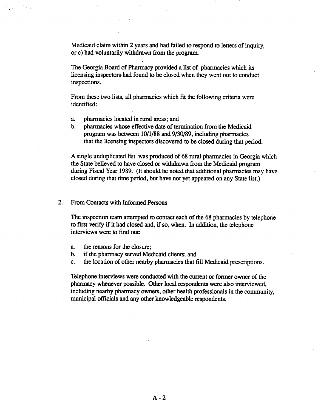Medicaid claim within 2 years and had failed to respond to letters of inquir, or c) had voluntarily withdrawn from the program.

The Georgia Board of Pharmacy provided a list of pharmacies which its licensing inspectors. had found to be closed when they went out to conduct inspections.

From these two lists, all pharmacies which fit the following criteria were identified:

- pharmacies located in rural areas; and a.
- pharmacies whose effective date of termination from the Medicaid b. program was between  $10/1/88$  and  $9/30/89$ , including pharmacies that the licensing inspectors discovered to be closed during that period.

A single unduplicated list was produced of 68 rural pharmacies in Georgia which the State believed to have closed or withdrawn from the Medicaid program during Fiscal Year 1989. (It should be noted that additional pharmacies may have closed during that time period, but have not yet appeared on any State list.)

#### $2.$ From Contacts with Informed Persons

The inspection team attempted to contact each of the 68 pharmacies by telephone to first verify if it had closed and, if so, when. In addition, the telephone interviews were to find out:

- a. the reasons for the closure;<br>b. if the pharmacy served Mee
- if the pharmacy served Medicaid clients; and
- c. the location of other nearby pharmacies that fill Medicaid prescriptions.

Telephone interviews were conducted with the current or former owner of the pharmacy whenever possible. Other local respondents were also interviewed, including nearby pharmacy owners, other health professionals in the community, municipal officials and any other knowledgeable respondents.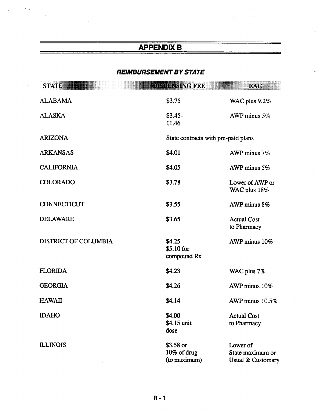# **APPENDIX B**

 $\mathcal{L}_{\mathcal{A}}$ 

N,

### **REIMBURSEMENT BY STATE**

| SEND                 | DISTINSING BDD                           | ixte                                              |  |
|----------------------|------------------------------------------|---------------------------------------------------|--|
| <b>ALABAMA</b>       | \$3.75                                   | WAC plus 9.2%                                     |  |
| <b>ALASKA</b>        | $$3.45-$<br>11.46                        | AWP minus 5%                                      |  |
| <b>ARIZONA</b>       |                                          | State contracts with pre-paid plans               |  |
| <b>ARKANSAS</b>      | \$4.01                                   | AWP minus 7%                                      |  |
| <b>CALIFORNIA</b>    | \$4.05                                   | AWP minus 5%                                      |  |
| <b>COLORADO</b>      | \$3.78                                   | Lower of AWP or<br>WAC plus 18%                   |  |
| CONNECTICUT          | \$3.55                                   | AWP minus 8%                                      |  |
| <b>DELAWARE</b>      | \$3.65                                   | <b>Actual Cost</b><br>to Pharmacy                 |  |
| DISTRICT OF COLUMBIA | \$4.25<br>\$5.10 for<br>compound Rx      | AWP minus 10%                                     |  |
| <b>FLORIDA</b>       | \$4.23                                   | WAC plus 7%                                       |  |
| <b>GEORGIA</b>       | \$4.26                                   | AWP minus 10%                                     |  |
| <b>HAWAII</b>        | \$4.14                                   | AWP minus $10.5\%$                                |  |
| <b>IDAHO</b>         | \$4.00<br>\$4.15 unit<br>dose            | <b>Actual Cost</b><br>to Pharmacy                 |  |
| <b>ILLINOIS</b>      | \$3.58 or<br>10% of drug<br>(to maximum) | Lower of<br>State maximum or<br>Usual & Customary |  |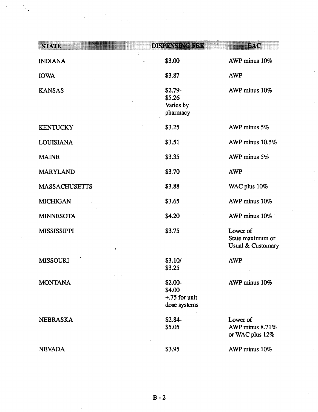| SIND                                       | DNUMMERIO                                             | D. G                                              |
|--------------------------------------------|-------------------------------------------------------|---------------------------------------------------|
| <b>INDIANA</b>                             | \$3.00                                                | AWP minus 10%                                     |
| <b>IOWA</b>                                | \$3.87                                                | <b>AWP</b>                                        |
| <b>KANSAS</b>                              | $$2.79-$<br>\$5.26<br>Varies by<br>pharmacy           | AWP minus 10%                                     |
| <b>KENTUCKY</b>                            | \$3.25                                                | AWP minus 5%                                      |
| <b>LOUISIANA</b>                           | \$3.51                                                | AWP minus 10.5%                                   |
| <b>MAINE</b>                               | \$3.35                                                | AWP minus 5%                                      |
| <b>MARYLAND</b>                            | \$3.70                                                | <b>AWP</b>                                        |
| <b>MASSACHUSETTS</b>                       | \$3.88                                                | WAC plus 10%                                      |
| <b>MICHIGAN</b>                            | \$3.65                                                | AWP minus 10%                                     |
| <b>MINNESOTA</b>                           | \$4.20                                                | AWP minus 10%                                     |
| <b>MISSISSIPPI</b><br>$\pmb{\mathfrak{g}}$ | \$3.75                                                | Lower of<br>State maximum or<br>Usual & Customary |
| <b>MISSOURI</b>                            | \$3.10/<br>\$3.25                                     | <b>AWP</b>                                        |
| <b>MONTANA</b>                             | $$2.00-$<br>\$4.00<br>$+.75$ for unit<br>dose systems | AWP minus 10%                                     |
| <b>NEBRASKA</b>                            | $$2.84-$<br>\$5.05                                    | Lower of<br>AWP minus 8.71%<br>or WAC plus 12%    |
| <b>NEVADA</b>                              | \$3.95                                                | AWP minus 10%                                     |

 $\frac{1}{2}$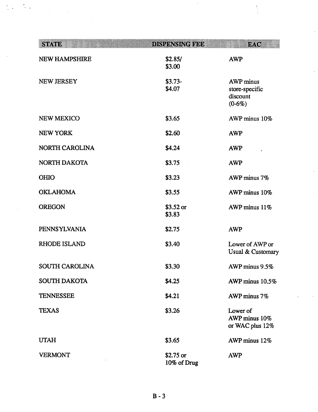| sveri                 | DISTRINSING 1999          | w. G                                                       |
|-----------------------|---------------------------|------------------------------------------------------------|
| <b>NEW HAMPSHIRE</b>  | \$2.85/<br>\$3.00         | <b>AWP</b>                                                 |
| <b>NEW JERSEY</b>     | $$3.73-$<br>\$4.07        | <b>AWP</b> minus<br>store-specific<br>discount<br>$(0-6%)$ |
| <b>NEW MEXICO</b>     | \$3.65                    | AWP minus 10%                                              |
| <b>NEW YORK</b>       | \$2.60                    | <b>AWP</b>                                                 |
| <b>NORTH CAROLINA</b> | \$4.24                    | <b>AWP</b>                                                 |
| <b>NORTH DAKOTA</b>   | \$3.75                    | <b>AWP</b>                                                 |
| <b>OHIO</b>           | \$3.23                    | AWP minus 7%                                               |
| <b>OKLAHOMA</b>       | \$3.55                    | AWP minus 10%                                              |
| <b>OREGON</b>         | $$3.52$ or<br>\$3.83      | AWP minus 11%                                              |
| <b>PENNSYLVANIA</b>   | \$2.75                    | <b>AWP</b>                                                 |
| <b>RHODE ISLAND</b>   | \$3.40                    | Lower of AWP or<br>Usual & Customary                       |
| <b>SOUTH CAROLINA</b> | \$3.30                    | AWP minus 9.5%                                             |
| <b>SOUTH DAKOTA</b>   | \$4.25                    | AWP minus 10.5%                                            |
| <b>TENNESSEE</b>      | \$4.21                    | AWP minus 7%                                               |
| <b>TEXAS</b>          | \$3.26                    | Lower of<br>AWP minus 10%<br>or WAC plus 12%               |
| <b>UTAH</b>           | \$3.65                    | AWP minus 12%                                              |
| <b>VERMONT</b>        | $$2.75$ or<br>10% of Drug | <b>AWP</b>                                                 |

 $\frac{1}{2}$  .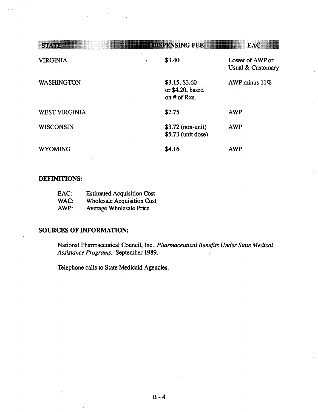| 890.883              | DINGENNING TEE                                     | i X. (g                                         |
|----------------------|----------------------------------------------------|-------------------------------------------------|
| <b>VIRGINIA</b>      | \$3.40                                             | Lower of AWP or<br><b>Usual &amp; Customary</b> |
| <b>WASHINGTON</b>    | \$3.15, \$3.60<br>or \$4.20, based<br>on # of Rxs. | AWP minus $11\%$                                |
| <b>WEST VIRGINIA</b> | \$2.75                                             | <b>AWP</b>                                      |
| <b>WISCONSIN</b>     | $$3.72$ (non-unit)<br>\$5.73 (unit dose)           | <b>AWP</b>                                      |
| <b>WYOMING</b>       | \$4.16                                             | AWP                                             |

## **DEFINITIONS:**

| EAC: | <b>Estimated Acquisition Cost</b> |
|------|-----------------------------------|
| WAC: | <b>Wholesale Acquisition Cost</b> |
| AWP: | <b>Average Wholesale Price</b>    |

#### **SOURCES OF INFORMATION:**

National Pharmaceutical Council, Inc. Pharmaceutical Benefits Under State Medical Assistance Programs. September 1989.

Telephone calls to State Medicaid Agencies.